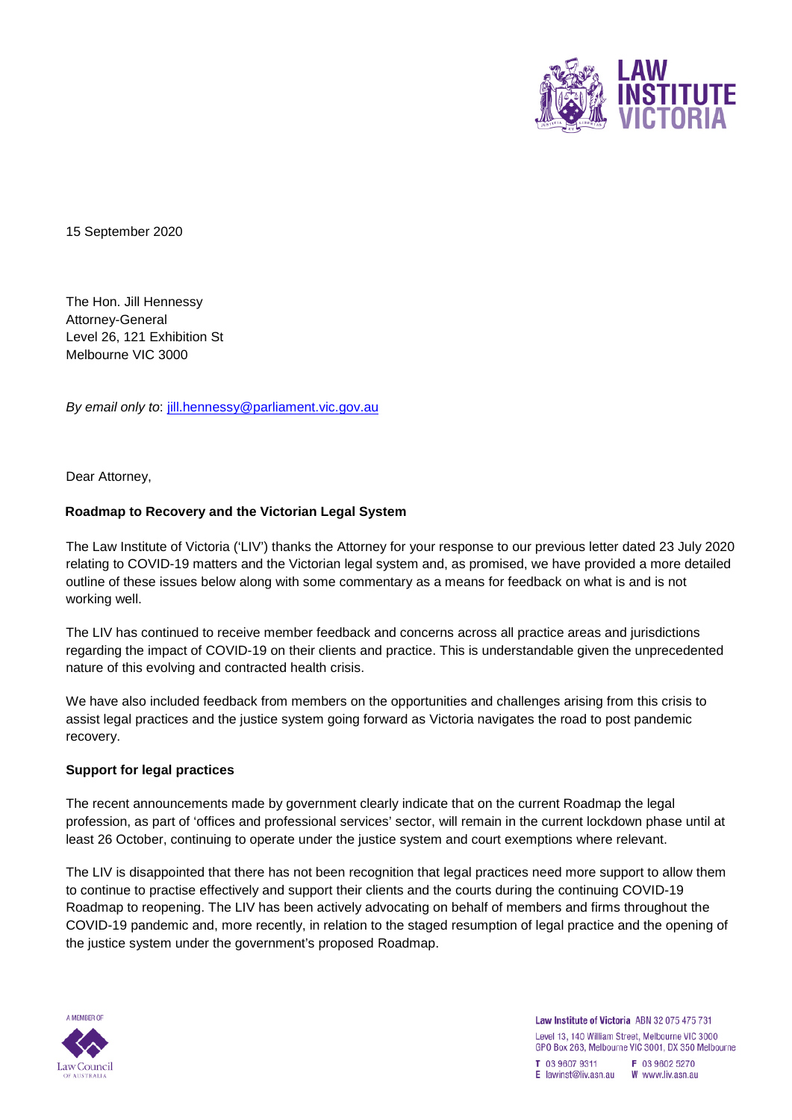

15 September 2020

The Hon. Jill Hennessy Attorney-General Level 26, 121 Exhibition St Melbourne VIC 3000

*By email only to*: jill.hennessy@parliament.vic.gov.au

Dear Attorney,

#### **Roadmap to Recovery and the Victorian Legal System**

The Law Institute of Victoria ('LIV') thanks the Attorney for your response to our previous letter dated 23 July 2020 relating to COVID-19 matters and the Victorian legal system and, as promised, we have provided a more detailed outline of these issues below along with some commentary as a means for feedback on what is and is not working well.

The LIV has continued to receive member feedback and concerns across all practice areas and jurisdictions regarding the impact of COVID-19 on their clients and practice. This is understandable given the unprecedented nature of this evolving and contracted health crisis.

We have also included feedback from members on the opportunities and challenges arising from this crisis to assist legal practices and the justice system going forward as Victoria navigates the road to post pandemic recovery.

#### **Support for legal practices**

The recent announcements made by government clearly indicate that on the current Roadmap the legal profession, as part of 'offices and professional services' sector, will remain in the current lockdown phase until at least 26 October, continuing to operate under the justice system and court exemptions where relevant.

The LIV is disappointed that there has not been recognition that legal practices need more support to allow them to continue to practise effectively and support their clients and the courts during the continuing COVID-19 Roadmap to reopening. The LIV has been actively advocating on behalf of members and firms throughout the COVID-19 pandemic and, more recently, in relation to the staged resumption of legal practice and the opening of the justice system under the government's proposed Roadmap.

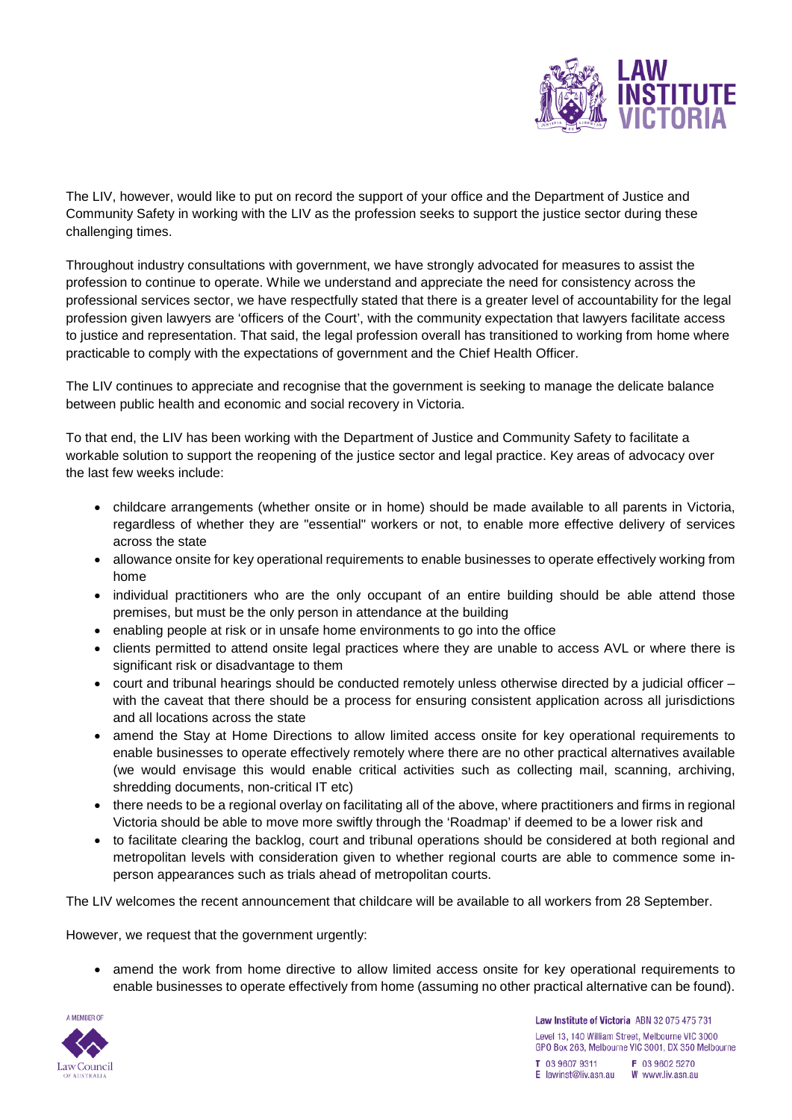

The LIV, however, would like to put on record the support of your office and the Department of Justice and Community Safety in working with the LIV as the profession seeks to support the justice sector during these challenging times.

Throughout industry consultations with government, we have strongly advocated for measures to assist the profession to continue to operate. While we understand and appreciate the need for consistency across the professional services sector, we have respectfully stated that there is a greater level of accountability for the legal profession given lawyers are 'officers of the Court', with the community expectation that lawyers facilitate access to justice and representation. That said, the legal profession overall has transitioned to working from home where practicable to comply with the expectations of government and the Chief Health Officer.

The LIV continues to appreciate and recognise that the government is seeking to manage the delicate balance between public health and economic and social recovery in Victoria.

To that end, the LIV has been working with the Department of Justice and Community Safety to facilitate a workable solution to support the reopening of the justice sector and legal practice. Key areas of advocacy over the last few weeks include:

- childcare arrangements (whether onsite or in home) should be made available to all parents in Victoria, regardless of whether they are "essential" workers or not, to enable more effective delivery of services across the state
- allowance onsite for key operational requirements to enable businesses to operate effectively working from home
- individual practitioners who are the only occupant of an entire building should be able attend those premises, but must be the only person in attendance at the building
- enabling people at risk or in unsafe home environments to go into the office
- clients permitted to attend onsite legal practices where they are unable to access AVL or where there is significant risk or disadvantage to them
- court and tribunal hearings should be conducted remotely unless otherwise directed by a judicial officer with the caveat that there should be a process for ensuring consistent application across all jurisdictions and all locations across the state
- amend the Stay at Home Directions to allow limited access onsite for key operational requirements to enable businesses to operate effectively remotely where there are no other practical alternatives available (we would envisage this would enable critical activities such as collecting mail, scanning, archiving, shredding documents, non-critical IT etc)
- there needs to be a regional overlay on facilitating all of the above, where practitioners and firms in regional Victoria should be able to move more swiftly through the 'Roadmap' if deemed to be a lower risk and
- to facilitate clearing the backlog, court and tribunal operations should be considered at both regional and metropolitan levels with consideration given to whether regional courts are able to commence some inperson appearances such as trials ahead of metropolitan courts.

The LIV welcomes the recent announcement that childcare will be available to all workers from 28 September.

However, we request that the government urgently:

• amend the work from home directive to allow limited access onsite for key operational requirements to enable businesses to operate effectively from home (assuming no other practical alternative can be found).

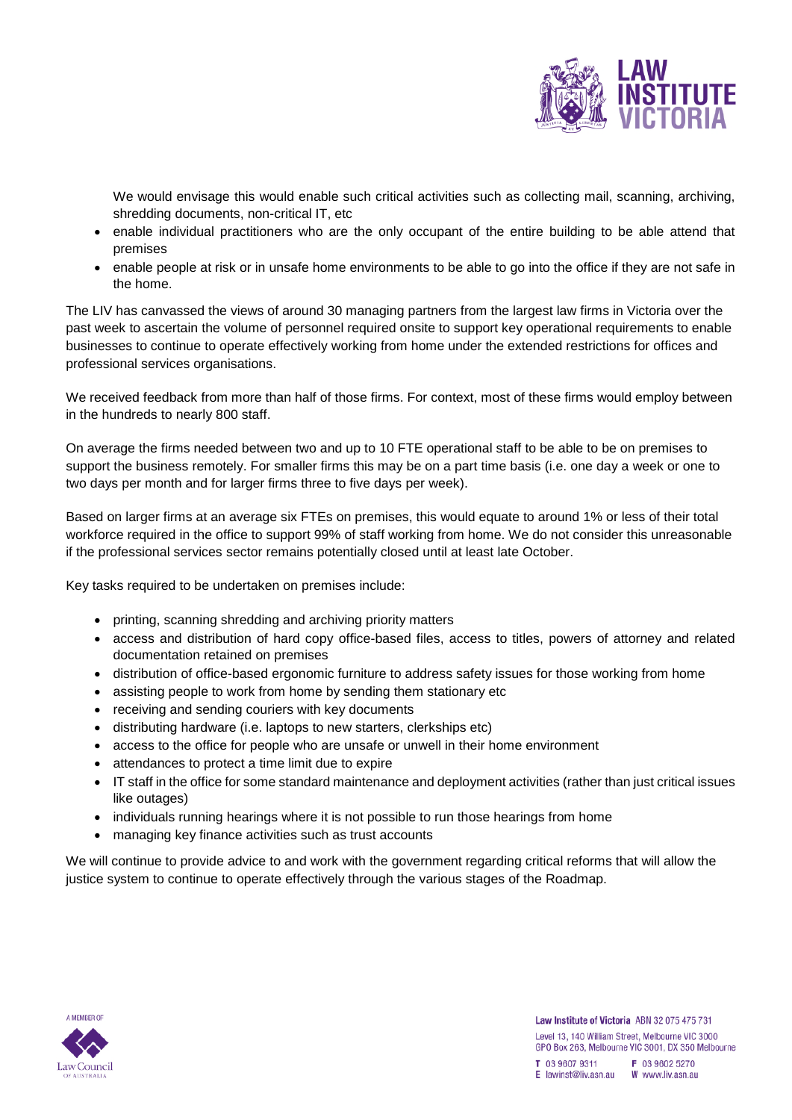

We would envisage this would enable such critical activities such as collecting mail, scanning, archiving, shredding documents, non-critical IT, etc

- enable individual practitioners who are the only occupant of the entire building to be able attend that premises
- enable people at risk or in unsafe home environments to be able to go into the office if they are not safe in the home.

The LIV has canvassed the views of around 30 managing partners from the largest law firms in Victoria over the past week to ascertain the volume of personnel required onsite to support key operational requirements to enable businesses to continue to operate effectively working from home under the extended restrictions for offices and professional services organisations.

We received feedback from more than half of those firms. For context, most of these firms would employ between in the hundreds to nearly 800 staff.

On average the firms needed between two and up to 10 FTE operational staff to be able to be on premises to support the business remotely. For smaller firms this may be on a part time basis (i.e. one day a week or one to two days per month and for larger firms three to five days per week).

Based on larger firms at an average six FTEs on premises, this would equate to around 1% or less of their total workforce required in the office to support 99% of staff working from home. We do not consider this unreasonable if the professional services sector remains potentially closed until at least late October.

Key tasks required to be undertaken on premises include:

- printing, scanning shredding and archiving priority matters
- access and distribution of hard copy office-based files, access to titles, powers of attorney and related documentation retained on premises
- distribution of office-based ergonomic furniture to address safety issues for those working from home
- assisting people to work from home by sending them stationary etc
- receiving and sending couriers with key documents
- distributing hardware (i.e. laptops to new starters, clerkships etc)
- access to the office for people who are unsafe or unwell in their home environment
- attendances to protect a time limit due to expire
- IT staff in the office for some standard maintenance and deployment activities (rather than just critical issues like outages)
- individuals running hearings where it is not possible to run those hearings from home
- managing key finance activities such as trust accounts

We will continue to provide advice to and work with the government regarding critical reforms that will allow the justice system to continue to operate effectively through the various stages of the Roadmap.

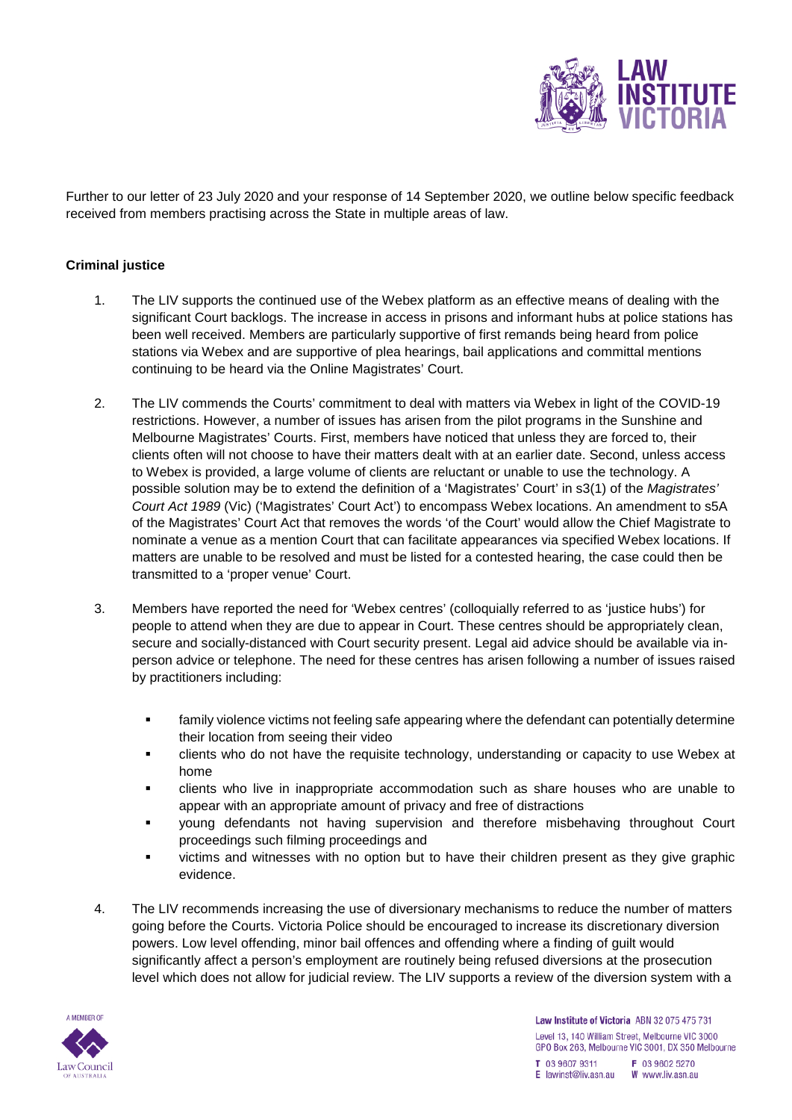

Further to our letter of 23 July 2020 and your response of 14 September 2020, we outline below specific feedback received from members practising across the State in multiple areas of law.

# **Criminal justice**

- 1. The LIV supports the continued use of the Webex platform as an effective means of dealing with the significant Court backlogs. The increase in access in prisons and informant hubs at police stations has been well received. Members are particularly supportive of first remands being heard from police stations via Webex and are supportive of plea hearings, bail applications and committal mentions continuing to be heard via the Online Magistrates' Court.
- 2. The LIV commends the Courts' commitment to deal with matters via Webex in light of the COVID-19 restrictions. However, a number of issues has arisen from the pilot programs in the Sunshine and Melbourne Magistrates' Courts. First, members have noticed that unless they are forced to, their clients often will not choose to have their matters dealt with at an earlier date. Second, unless access to Webex is provided, a large volume of clients are reluctant or unable to use the technology. A possible solution may be to extend the definition of a 'Magistrates' Court' in s3(1) of the *Magistrates' Court Act 1989* (Vic) ('Magistrates' Court Act') to encompass Webex locations. An amendment to s5A of the Magistrates' Court Act that removes the words 'of the Court' would allow the Chief Magistrate to nominate a venue as a mention Court that can facilitate appearances via specified Webex locations. If matters are unable to be resolved and must be listed for a contested hearing, the case could then be transmitted to a 'proper venue' Court.
- 3. Members have reported the need for 'Webex centres' (colloquially referred to as 'justice hubs') for people to attend when they are due to appear in Court. These centres should be appropriately clean, secure and socially-distanced with Court security present. Legal aid advice should be available via inperson advice or telephone. The need for these centres has arisen following a number of issues raised by practitioners including:
	- **family violence victims not feeling safe appearing where the defendant can potentially determine** their location from seeing their video
	- clients who do not have the requisite technology, understanding or capacity to use Webex at home
	- clients who live in inappropriate accommodation such as share houses who are unable to appear with an appropriate amount of privacy and free of distractions
	- young defendants not having supervision and therefore misbehaving throughout Court proceedings such filming proceedings and
	- victims and witnesses with no option but to have their children present as they give graphic evidence.
- 4. The LIV recommends increasing the use of diversionary mechanisms to reduce the number of matters going before the Courts. Victoria Police should be encouraged to increase its discretionary diversion powers. Low level offending, minor bail offences and offending where a finding of guilt would significantly affect a person's employment are routinely being refused diversions at the prosecution level which does not allow for judicial review. The LIV supports a review of the diversion system with a

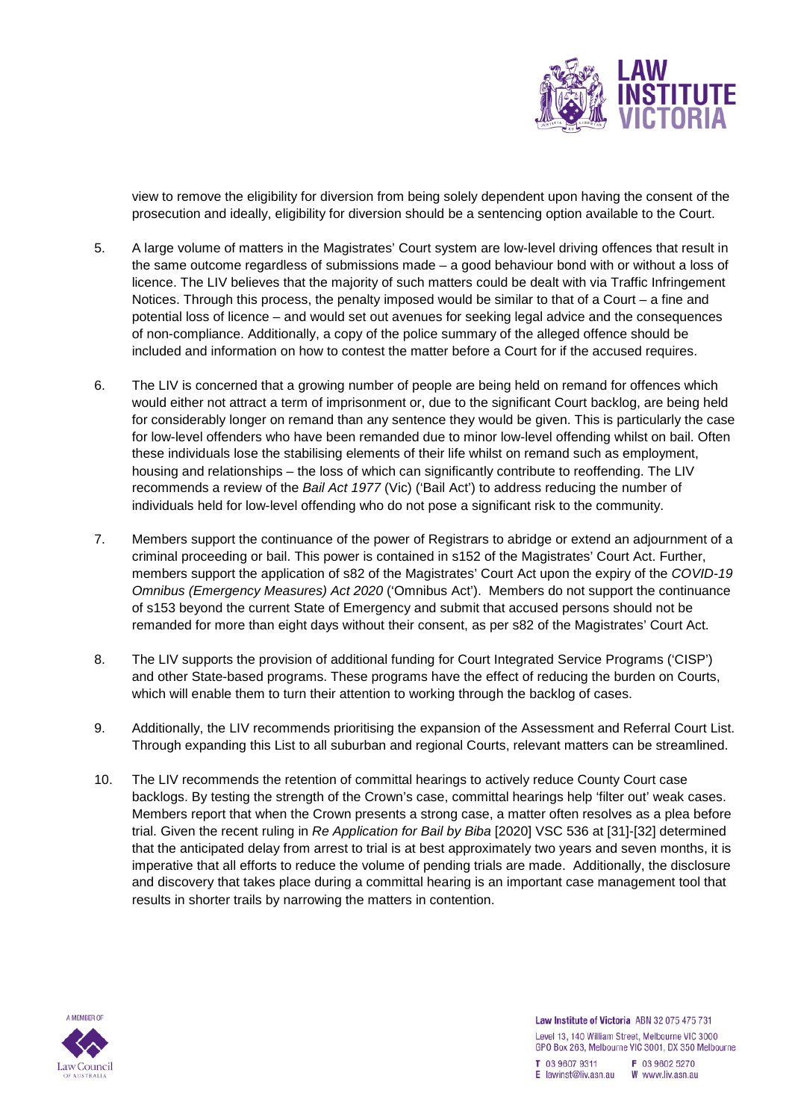

view to remove the eligibility for diversion from being solely dependent upon having the consent of the prosecution and ideally, eligibility for diversion should be a sentencing option available to the Court.

- 5. A large volume of matters in the Magistrates' Court system are low-level driving offences that result in the same outcome regardless of submissions made – a good behaviour bond with or without a loss of licence. The LIV believes that the majority of such matters could be dealt with via Traffic Infringement Notices. Through this process, the penalty imposed would be similar to that of a Court – a fine and potential loss of licence – and would set out avenues for seeking legal advice and the consequences of non-compliance. Additionally, a copy of the police summary of the alleged offence should be included and information on how to contest the matter before a Court for if the accused requires.
- 6. The LIV is concerned that a growing number of people are being held on remand for offences which would either not attract a term of imprisonment or, due to the significant Court backlog, are being held for considerably longer on remand than any sentence they would be given. This is particularly the case for low-level offenders who have been remanded due to minor low-level offending whilst on bail. Often these individuals lose the stabilising elements of their life whilst on remand such as employment, housing and relationships – the loss of which can significantly contribute to reoffending. The LIV recommends a review of the *Bail Act 1977* (Vic) ('Bail Act') to address reducing the number of individuals held for low-level offending who do not pose a significant risk to the community.
- 7. Members support the continuance of the power of Registrars to abridge or extend an adjournment of a criminal proceeding or bail. This power is contained in s152 of the Magistrates' Court Act. Further, members support the application of s82 of the Magistrates' Court Act upon the expiry of the *COVID-19 Omnibus (Emergency Measures) Act 2020* ('Omnibus Act'). Members do not support the continuance of s153 beyond the current State of Emergency and submit that accused persons should not be remanded for more than eight days without their consent, as per s82 of the Magistrates' Court Act.
- 8. The LIV supports the provision of additional funding for Court Integrated Service Programs ('CISP') and other State-based programs. These programs have the effect of reducing the burden on Courts, which will enable them to turn their attention to working through the backlog of cases.
- 9. Additionally, the LIV recommends prioritising the expansion of the Assessment and Referral Court List. Through expanding this List to all suburban and regional Courts, relevant matters can be streamlined.
- 10. The LIV recommends the retention of committal hearings to actively reduce County Court case backlogs. By testing the strength of the Crown's case, committal hearings help 'filter out' weak cases. Members report that when the Crown presents a strong case, a matter often resolves as a plea before trial. Given the recent ruling in *Re Application for Bail by Biba* [2020] VSC 536 at [31]-[32] determined that the anticipated delay from arrest to trial is at best approximately two years and seven months, it is imperative that all efforts to reduce the volume of pending trials are made. Additionally, the disclosure and discovery that takes place during a committal hearing is an important case management tool that results in shorter trails by narrowing the matters in contention.

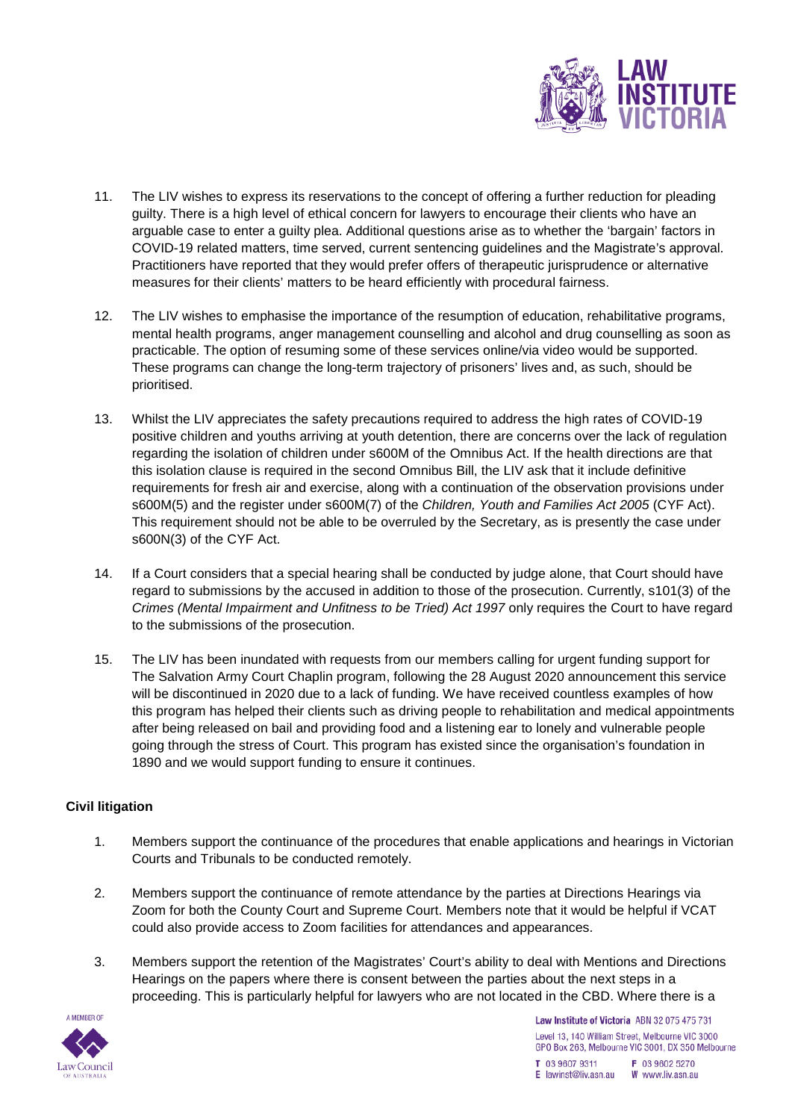

- 11. The LIV wishes to express its reservations to the concept of offering a further reduction for pleading guilty. There is a high level of ethical concern for lawyers to encourage their clients who have an arguable case to enter a guilty plea. Additional questions arise as to whether the 'bargain' factors in COVID-19 related matters, time served, current sentencing guidelines and the Magistrate's approval. Practitioners have reported that they would prefer offers of therapeutic jurisprudence or alternative measures for their clients' matters to be heard efficiently with procedural fairness.
- 12. The LIV wishes to emphasise the importance of the resumption of education, rehabilitative programs, mental health programs, anger management counselling and alcohol and drug counselling as soon as practicable. The option of resuming some of these services online/via video would be supported. These programs can change the long-term trajectory of prisoners' lives and, as such, should be prioritised.
- 13. Whilst the LIV appreciates the safety precautions required to address the high rates of COVID-19 positive children and youths arriving at youth detention, there are concerns over the lack of regulation regarding the isolation of children under s600M of the Omnibus Act. If the health directions are that this isolation clause is required in the second Omnibus Bill, the LIV ask that it include definitive requirements for fresh air and exercise, along with a continuation of the observation provisions under s600M(5) and the register under s600M(7) of the *Children, Youth and Families Act 2005* (CYF Act). This requirement should not be able to be overruled by the Secretary, as is presently the case under s600N(3) of the CYF Act.
- 14. If a Court considers that a special hearing shall be conducted by judge alone, that Court should have regard to submissions by the accused in addition to those of the prosecution. Currently, s101(3) of the *Crimes (Mental Impairment and Unfitness to be Tried) Act 1997* only requires the Court to have regard to the submissions of the prosecution.
- 15. The LIV has been inundated with requests from our members calling for urgent funding support for The Salvation Army Court Chaplin program, following the 28 August 2020 announcement this service will be discontinued in 2020 due to a lack of funding. We have received countless examples of how this program has helped their clients such as driving people to rehabilitation and medical appointments after being released on bail and providing food and a listening ear to lonely and vulnerable people going through the stress of Court. This program has existed since the organisation's foundation in 1890 and we would support funding to ensure it continues.

## **Civil litigation**

- 1. Members support the continuance of the procedures that enable applications and hearings in Victorian Courts and Tribunals to be conducted remotely.
- 2. Members support the continuance of remote attendance by the parties at Directions Hearings via Zoom for both the County Court and Supreme Court. Members note that it would be helpful if VCAT could also provide access to Zoom facilities for attendances and appearances.
- 3. Members support the retention of the Magistrates' Court's ability to deal with Mentions and Directions Hearings on the papers where there is consent between the parties about the next steps in a proceeding. This is particularly helpful for lawyers who are not located in the CBD. Where there is a

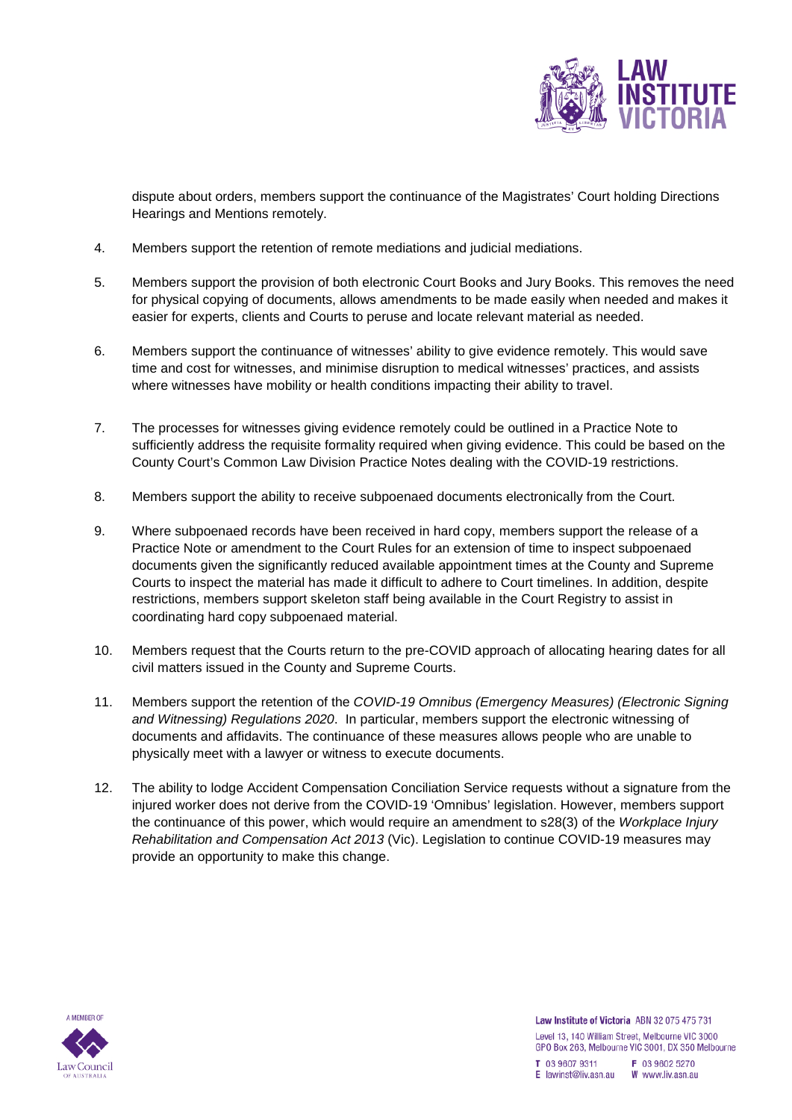

dispute about orders, members support the continuance of the Magistrates' Court holding Directions Hearings and Mentions remotely.

- 4. Members support the retention of remote mediations and judicial mediations.
- 5. Members support the provision of both electronic Court Books and Jury Books. This removes the need for physical copying of documents, allows amendments to be made easily when needed and makes it easier for experts, clients and Courts to peruse and locate relevant material as needed.
- 6. Members support the continuance of witnesses' ability to give evidence remotely. This would save time and cost for witnesses, and minimise disruption to medical witnesses' practices, and assists where witnesses have mobility or health conditions impacting their ability to travel.
- 7. The processes for witnesses giving evidence remotely could be outlined in a Practice Note to sufficiently address the requisite formality required when giving evidence. This could be based on the County Court's Common Law Division Practice Notes dealing with the COVID-19 restrictions.
- 8. Members support the ability to receive subpoenaed documents electronically from the Court.
- 9. Where subpoenaed records have been received in hard copy, members support the release of a Practice Note or amendment to the Court Rules for an extension of time to inspect subpoenaed documents given the significantly reduced available appointment times at the County and Supreme Courts to inspect the material has made it difficult to adhere to Court timelines. In addition, despite restrictions, members support skeleton staff being available in the Court Registry to assist in coordinating hard copy subpoenaed material.
- 10. Members request that the Courts return to the pre-COVID approach of allocating hearing dates for all civil matters issued in the County and Supreme Courts.
- 11. Members support the retention of the *COVID-19 Omnibus (Emergency Measures) (Electronic Signing and Witnessing) Regulations 2020*. In particular, members support the electronic witnessing of documents and affidavits. The continuance of these measures allows people who are unable to physically meet with a lawyer or witness to execute documents.
- 12. The ability to lodge Accident Compensation Conciliation Service requests without a signature from the injured worker does not derive from the COVID-19 'Omnibus' legislation. However, members support the continuance of this power, which would require an amendment to s28(3) of the *Workplace Injury Rehabilitation and Compensation Act 2013* (Vic). Legislation to continue COVID-19 measures may provide an opportunity to make this change.

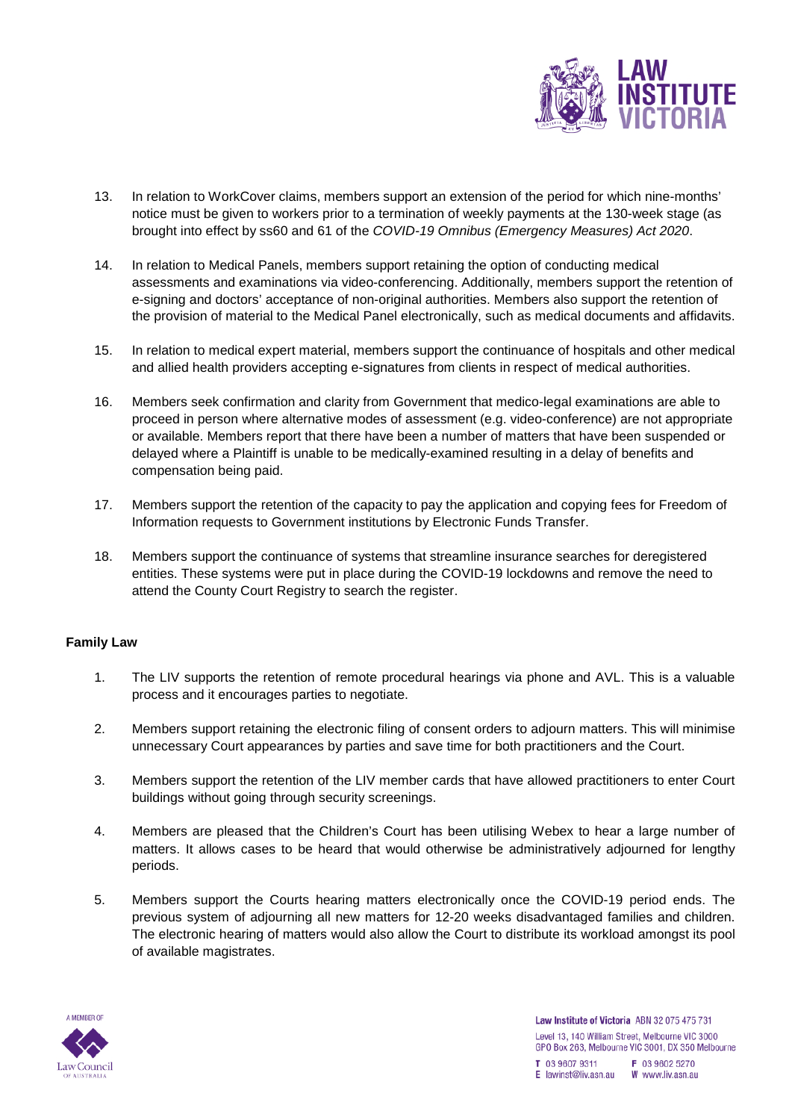

- 13. In relation to WorkCover claims, members support an extension of the period for which nine-months' notice must be given to workers prior to a termination of weekly payments at the 130-week stage (as brought into effect by ss60 and 61 of the *COVID-19 Omnibus (Emergency Measures) Act 2020*.
- 14. In relation to Medical Panels, members support retaining the option of conducting medical assessments and examinations via video-conferencing. Additionally, members support the retention of e-signing and doctors' acceptance of non-original authorities. Members also support the retention of the provision of material to the Medical Panel electronically, such as medical documents and affidavits.
- 15. In relation to medical expert material, members support the continuance of hospitals and other medical and allied health providers accepting e-signatures from clients in respect of medical authorities.
- 16. Members seek confirmation and clarity from Government that medico-legal examinations are able to proceed in person where alternative modes of assessment (e.g. video-conference) are not appropriate or available. Members report that there have been a number of matters that have been suspended or delayed where a Plaintiff is unable to be medically-examined resulting in a delay of benefits and compensation being paid.
- 17. Members support the retention of the capacity to pay the application and copying fees for Freedom of Information requests to Government institutions by Electronic Funds Transfer.
- 18. Members support the continuance of systems that streamline insurance searches for deregistered entities. These systems were put in place during the COVID-19 lockdowns and remove the need to attend the County Court Registry to search the register.

## **Family Law**

- 1. The LIV supports the retention of remote procedural hearings via phone and AVL. This is a valuable process and it encourages parties to negotiate.
- 2. Members support retaining the electronic filing of consent orders to adjourn matters. This will minimise unnecessary Court appearances by parties and save time for both practitioners and the Court.
- 3. Members support the retention of the LIV member cards that have allowed practitioners to enter Court buildings without going through security screenings.
- 4. Members are pleased that the Children's Court has been utilising Webex to hear a large number of matters. It allows cases to be heard that would otherwise be administratively adjourned for lengthy periods.
- 5. Members support the Courts hearing matters electronically once the COVID-19 period ends. The previous system of adjourning all new matters for 12-20 weeks disadvantaged families and children. The electronic hearing of matters would also allow the Court to distribute its workload amongst its pool of available magistrates.

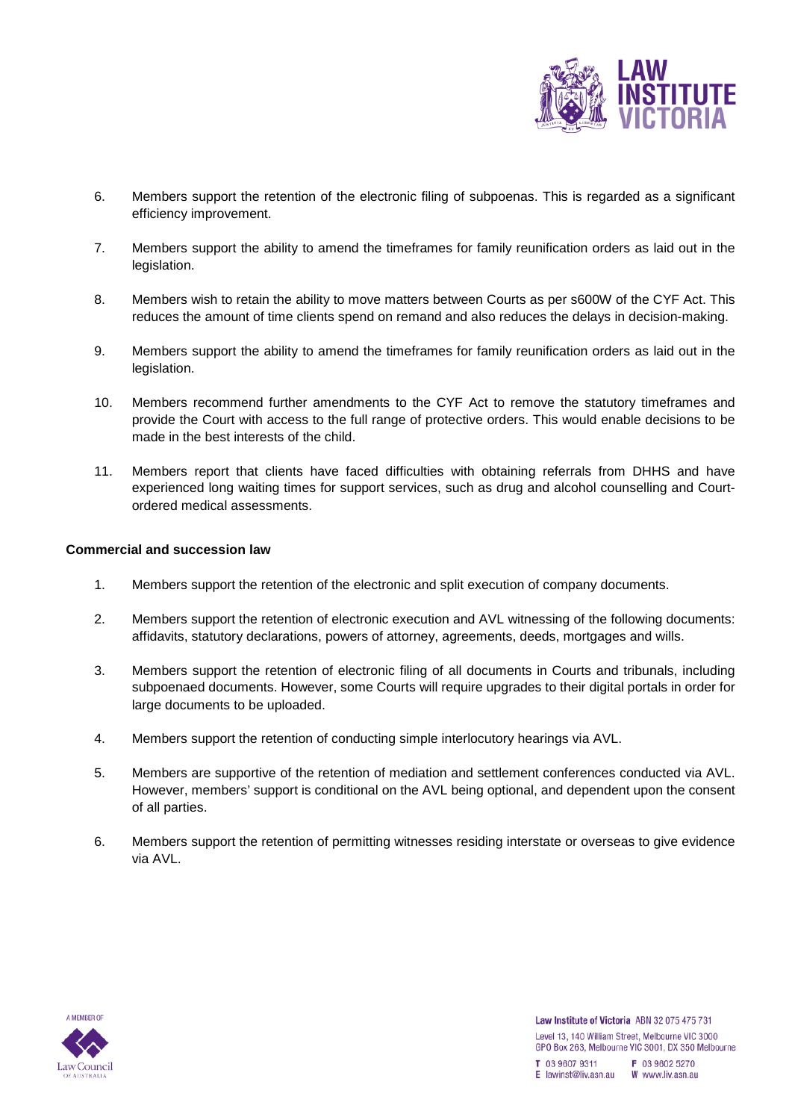

- 6. Members support the retention of the electronic filing of subpoenas. This is regarded as a significant efficiency improvement.
- 7. Members support the ability to amend the timeframes for family reunification orders as laid out in the legislation.
- 8. Members wish to retain the ability to move matters between Courts as per s600W of the CYF Act. This reduces the amount of time clients spend on remand and also reduces the delays in decision-making.
- 9. Members support the ability to amend the timeframes for family reunification orders as laid out in the legislation.
- 10. Members recommend further amendments to the CYF Act to remove the statutory timeframes and provide the Court with access to the full range of protective orders. This would enable decisions to be made in the best interests of the child.
- 11. Members report that clients have faced difficulties with obtaining referrals from DHHS and have experienced long waiting times for support services, such as drug and alcohol counselling and Courtordered medical assessments.

#### **Commercial and succession law**

- 1. Members support the retention of the electronic and split execution of company documents.
- 2. Members support the retention of electronic execution and AVL witnessing of the following documents: affidavits, statutory declarations, powers of attorney, agreements, deeds, mortgages and wills.
- 3. Members support the retention of electronic filing of all documents in Courts and tribunals, including subpoenaed documents. However, some Courts will require upgrades to their digital portals in order for large documents to be uploaded.
- 4. Members support the retention of conducting simple interlocutory hearings via AVL.
- 5. Members are supportive of the retention of mediation and settlement conferences conducted via AVL. However, members' support is conditional on the AVL being optional, and dependent upon the consent of all parties.
- 6. Members support the retention of permitting witnesses residing interstate or overseas to give evidence via AVL.

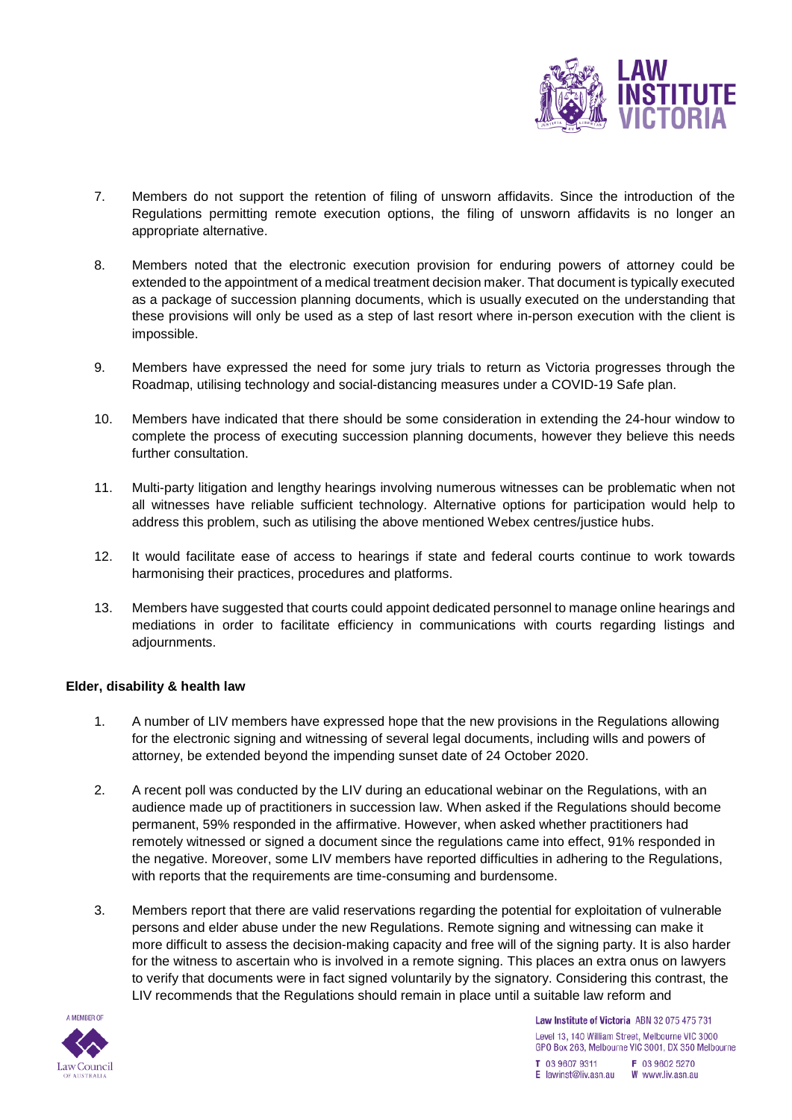

- 7. Members do not support the retention of filing of unsworn affidavits. Since the introduction of the Regulations permitting remote execution options, the filing of unsworn affidavits is no longer an appropriate alternative.
- 8. Members noted that the electronic execution provision for enduring powers of attorney could be extended to the appointment of a medical treatment decision maker. That document is typically executed as a package of succession planning documents, which is usually executed on the understanding that these provisions will only be used as a step of last resort where in-person execution with the client is impossible.
- 9. Members have expressed the need for some jury trials to return as Victoria progresses through the Roadmap, utilising technology and social-distancing measures under a COVID-19 Safe plan.
- 10. Members have indicated that there should be some consideration in extending the 24-hour window to complete the process of executing succession planning documents, however they believe this needs further consultation.
- 11. Multi-party litigation and lengthy hearings involving numerous witnesses can be problematic when not all witnesses have reliable sufficient technology. Alternative options for participation would help to address this problem, such as utilising the above mentioned Webex centres/justice hubs.
- 12. It would facilitate ease of access to hearings if state and federal courts continue to work towards harmonising their practices, procedures and platforms.
- 13. Members have suggested that courts could appoint dedicated personnel to manage online hearings and mediations in order to facilitate efficiency in communications with courts regarding listings and adjournments.

## **Elder, disability & health law**

- 1. A number of LIV members have expressed hope that the new provisions in the Regulations allowing for the electronic signing and witnessing of several legal documents, including wills and powers of attorney, be extended beyond the impending sunset date of 24 October 2020.
- 2. A recent poll was conducted by the LIV during an educational webinar on the Regulations, with an audience made up of practitioners in succession law. When asked if the Regulations should become permanent, 59% responded in the affirmative. However, when asked whether practitioners had remotely witnessed or signed a document since the regulations came into effect, 91% responded in the negative. Moreover, some LIV members have reported difficulties in adhering to the Regulations, with reports that the requirements are time-consuming and burdensome.
- 3. Members report that there are valid reservations regarding the potential for exploitation of vulnerable persons and elder abuse under the new Regulations. Remote signing and witnessing can make it more difficult to assess the decision-making capacity and free will of the signing party. It is also harder for the witness to ascertain who is involved in a remote signing. This places an extra onus on lawyers to verify that documents were in fact signed voluntarily by the signatory. Considering this contrast, the LIV recommends that the Regulations should remain in place until a suitable law reform and

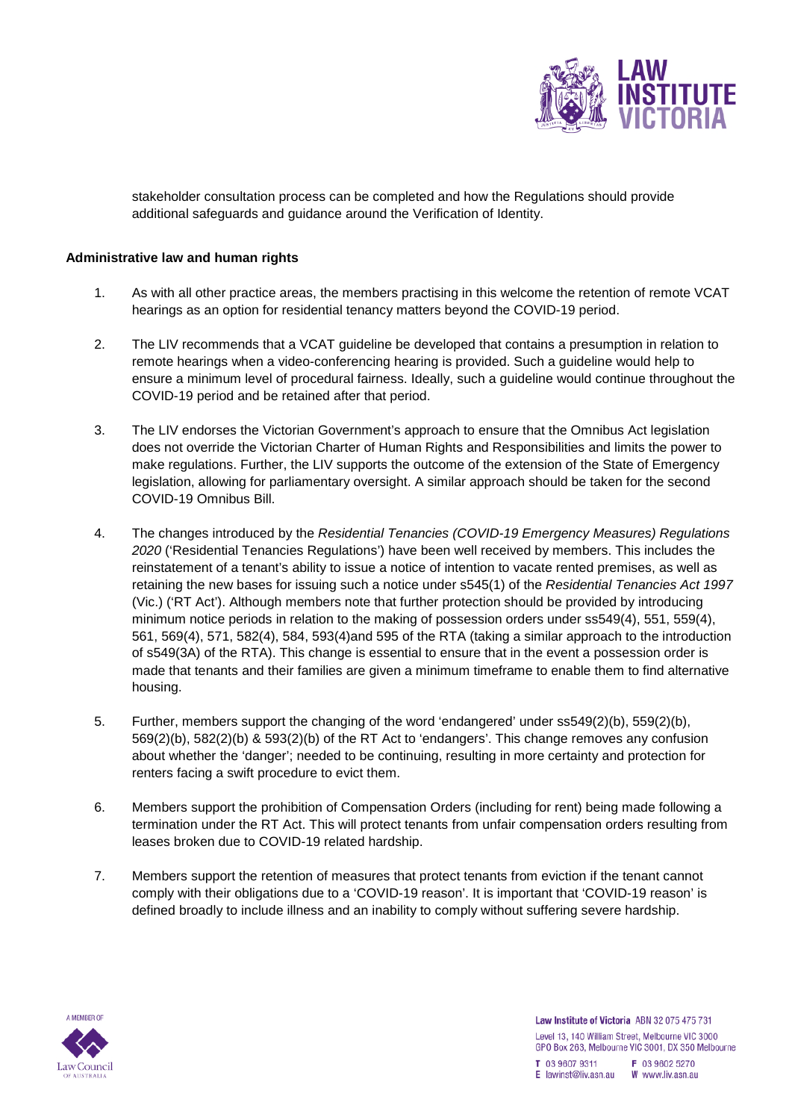

stakeholder consultation process can be completed and how the Regulations should provide additional safeguards and guidance around the Verification of Identity.

### **Administrative law and human rights**

- 1. As with all other practice areas, the members practising in this welcome the retention of remote VCAT hearings as an option for residential tenancy matters beyond the COVID-19 period.
- 2. The LIV recommends that a VCAT guideline be developed that contains a presumption in relation to remote hearings when a video-conferencing hearing is provided. Such a guideline would help to ensure a minimum level of procedural fairness. Ideally, such a guideline would continue throughout the COVID-19 period and be retained after that period.
- 3. The LIV endorses the Victorian Government's approach to ensure that the Omnibus Act legislation does not override the Victorian Charter of Human Rights and Responsibilities and limits the power to make regulations. Further, the LIV supports the outcome of the extension of the State of Emergency legislation, allowing for parliamentary oversight. A similar approach should be taken for the second COVID-19 Omnibus Bill.
- 4. The changes introduced by the *Residential Tenancies (COVID-19 Emergency Measures) Regulations 2020* ('Residential Tenancies Regulations') have been well received by members. This includes the reinstatement of a tenant's ability to issue a notice of intention to vacate rented premises, as well as retaining the new bases for issuing such a notice under s545(1) of the *Residential Tenancies Act 1997* (Vic.) ('RT Act'). Although members note that further protection should be provided by introducing minimum notice periods in relation to the making of possession orders under ss549(4), 551, 559(4), 561, 569(4), 571, 582(4), 584, 593(4)and 595 of the RTA (taking a similar approach to the introduction of s549(3A) of the RTA). This change is essential to ensure that in the event a possession order is made that tenants and their families are given a minimum timeframe to enable them to find alternative housing.
- 5. Further, members support the changing of the word 'endangered' under ss549(2)(b), 559(2)(b), 569(2)(b), 582(2)(b) & 593(2)(b) of the RT Act to 'endangers'. This change removes any confusion about whether the 'danger'; needed to be continuing, resulting in more certainty and protection for renters facing a swift procedure to evict them.
- 6. Members support the prohibition of Compensation Orders (including for rent) being made following a termination under the RT Act. This will protect tenants from unfair compensation orders resulting from leases broken due to COVID-19 related hardship.
- 7. Members support the retention of measures that protect tenants from eviction if the tenant cannot comply with their obligations due to a 'COVID-19 reason'. It is important that 'COVID-19 reason' is defined broadly to include illness and an inability to comply without suffering severe hardship.

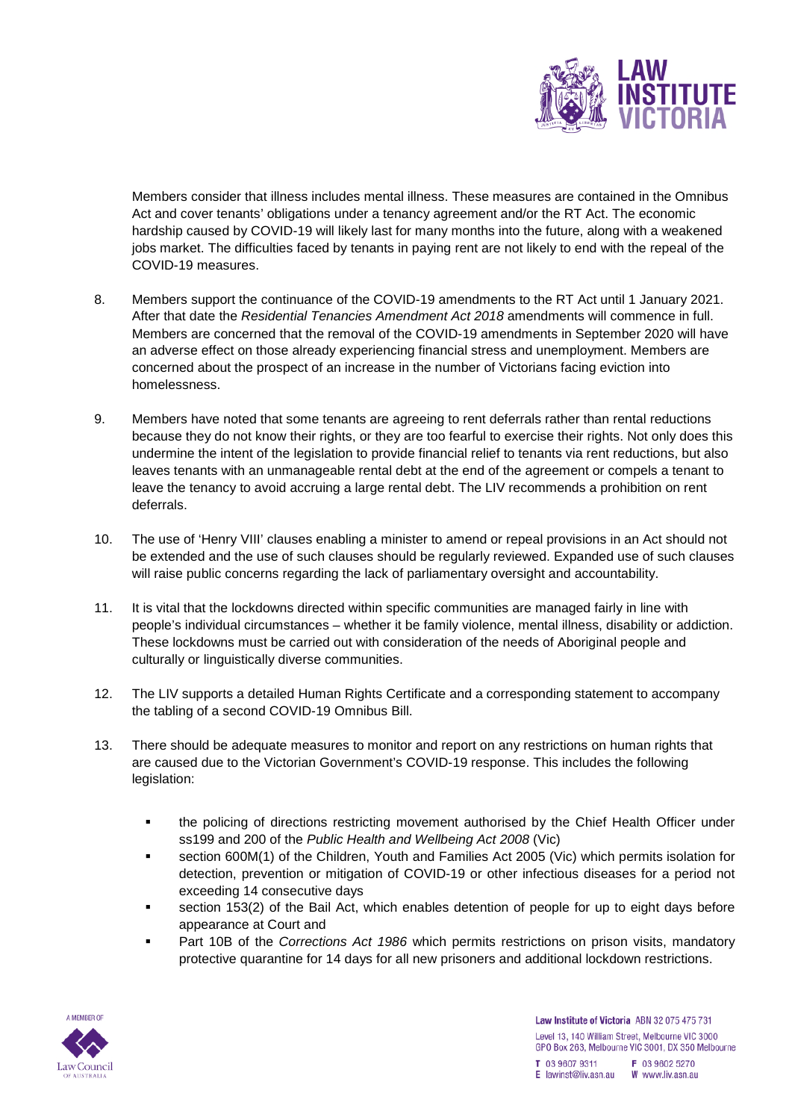

Members consider that illness includes mental illness. These measures are contained in the Omnibus Act and cover tenants' obligations under a tenancy agreement and/or the RT Act. The economic hardship caused by COVID-19 will likely last for many months into the future, along with a weakened jobs market. The difficulties faced by tenants in paying rent are not likely to end with the repeal of the COVID-19 measures.

- 8. Members support the continuance of the COVID-19 amendments to the RT Act until 1 January 2021. After that date the *Residential Tenancies Amendment Act 2018* amendments will commence in full. Members are concerned that the removal of the COVID-19 amendments in September 2020 will have an adverse effect on those already experiencing financial stress and unemployment. Members are concerned about the prospect of an increase in the number of Victorians facing eviction into homelessness.
- 9. Members have noted that some tenants are agreeing to rent deferrals rather than rental reductions because they do not know their rights, or they are too fearful to exercise their rights. Not only does this undermine the intent of the legislation to provide financial relief to tenants via rent reductions, but also leaves tenants with an unmanageable rental debt at the end of the agreement or compels a tenant to leave the tenancy to avoid accruing a large rental debt. The LIV recommends a prohibition on rent deferrals.
- 10. The use of 'Henry VIII' clauses enabling a minister to amend or repeal provisions in an Act should not be extended and the use of such clauses should be regularly reviewed. Expanded use of such clauses will raise public concerns regarding the lack of parliamentary oversight and accountability.
- 11. It is vital that the lockdowns directed within specific communities are managed fairly in line with people's individual circumstances – whether it be family violence, mental illness, disability or addiction. These lockdowns must be carried out with consideration of the needs of Aboriginal people and culturally or linguistically diverse communities.
- 12. The LIV supports a detailed Human Rights Certificate and a corresponding statement to accompany the tabling of a second COVID-19 Omnibus Bill.
- 13. There should be adequate measures to monitor and report on any restrictions on human rights that are caused due to the Victorian Government's COVID-19 response. This includes the following legislation:
	- the policing of directions restricting movement authorised by the Chief Health Officer under ss199 and 200 of the *Public Health and Wellbeing Act 2008* (Vic)
	- section 600M(1) of the Children, Youth and Families Act 2005 (Vic) which permits isolation for detection, prevention or mitigation of COVID-19 or other infectious diseases for a period not exceeding 14 consecutive days
	- section 153(2) of the Bail Act, which enables detention of people for up to eight days before appearance at Court and
	- Part 10B of the *Corrections Act 1986* which permits restrictions on prison visits, mandatory protective quarantine for 14 days for all new prisoners and additional lockdown restrictions.

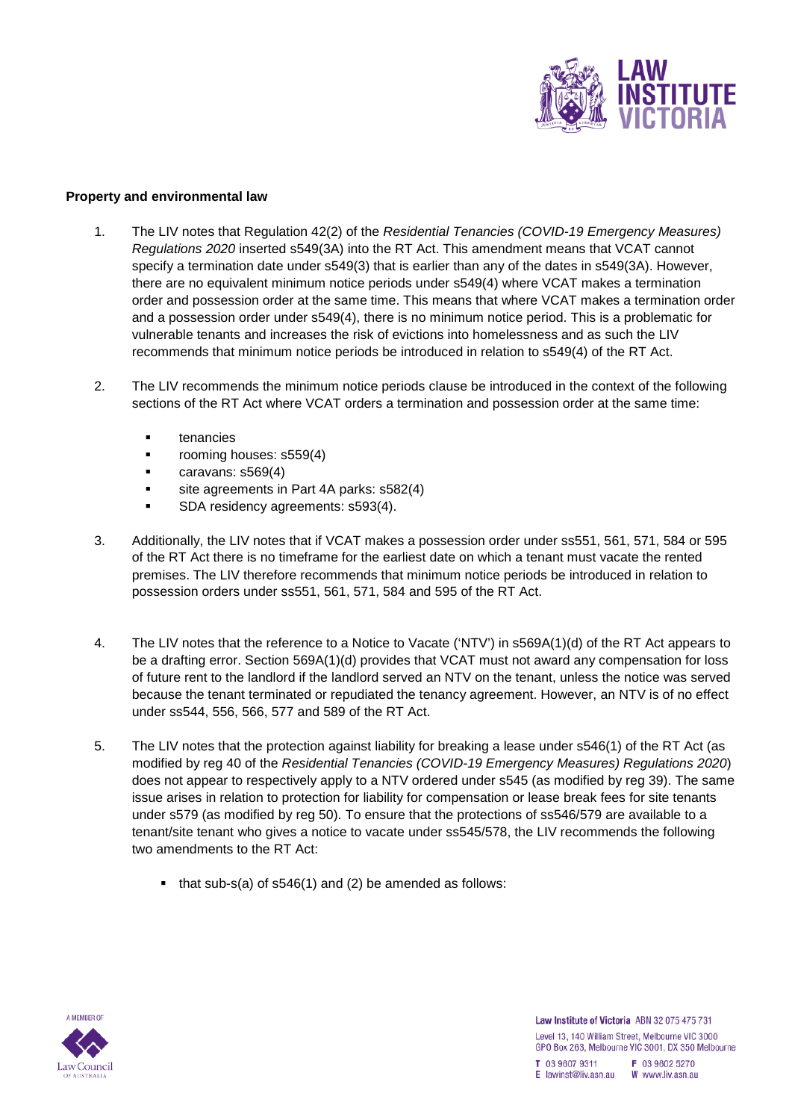

#### **Property and environmental law**

- 1. The LIV notes that Regulation 42(2) of the *Residential Tenancies (COVID-19 Emergency Measures) Regulations 2020* inserted s549(3A) into the RT Act. This amendment means that VCAT cannot specify a termination date under s549(3) that is earlier than any of the dates in s549(3A). However, there are no equivalent minimum notice periods under s549(4) where VCAT makes a termination order and possession order at the same time. This means that where VCAT makes a termination order and a possession order under s549(4), there is no minimum notice period. This is a problematic for vulnerable tenants and increases the risk of evictions into homelessness and as such the LIV recommends that minimum notice periods be introduced in relation to s549(4) of the RT Act.
- 2. The LIV recommends the minimum notice periods clause be introduced in the context of the following sections of the RT Act where VCAT orders a termination and possession order at the same time:
	- tenancies
	- **•** rooming houses: s559(4)
	- caravans: s569(4)
	- site agreements in Part 4A parks: s582(4)
	- **SDA residency agreements: s593(4).**
- 3. Additionally, the LIV notes that if VCAT makes a possession order under ss551, 561, 571, 584 or 595 of the RT Act there is no timeframe for the earliest date on which a tenant must vacate the rented premises. The LIV therefore recommends that minimum notice periods be introduced in relation to possession orders under ss551, 561, 571, 584 and 595 of the RT Act.
- 4. The LIV notes that the reference to a Notice to Vacate ('NTV') in s569A(1)(d) of the RT Act appears to be a drafting error. Section 569A(1)(d) provides that VCAT must not award any compensation for loss of future rent to the landlord if the landlord served an NTV on the tenant, unless the notice was served because the tenant terminated or repudiated the tenancy agreement. However, an NTV is of no effect under ss544, 556, 566, 577 and 589 of the RT Act.
- 5. The LIV notes that the protection against liability for breaking a lease under s546(1) of the RT Act (as modified by reg 40 of the *Residential Tenancies (COVID-19 Emergency Measures) Regulations 2020*) does not appear to respectively apply to a NTV ordered under s545 (as modified by reg 39). The same issue arises in relation to protection for liability for compensation or lease break fees for site tenants under s579 (as modified by reg 50). To ensure that the protections of ss546/579 are available to a tenant/site tenant who gives a notice to vacate under ss545/578, the LIV recommends the following two amendments to the RT Act:
	- that sub-s(a) of s546(1) and (2) be amended as follows: